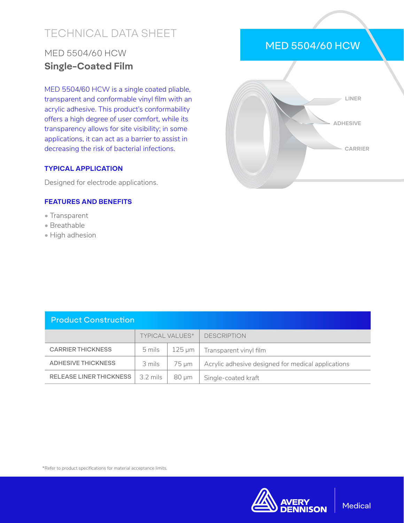# TECHNICAL DATA SHEET

### MED 5504/60 HCW **Single-Coated Film**

MED 5504/60 HCW is a single coated pliable, transparent and conformable vinyl film with an acrylic adhesive. This product's conformability offers a high degree of user comfort, while its transparency allows for site visibility; in some applications, it can act as a barrier to assist in decreasing the risk of bacterial infections.

### **TYPICAL APPLICATION**

Designed for electrode applications.

### **FEATURES AND BENEFITS**

- Transparent
- Breathable
- High adhesion

## MED 5504/60 HCW



| <b>Product Construction</b> |                        |        |                                                    |  |  |
|-----------------------------|------------------------|--------|----------------------------------------------------|--|--|
|                             | <b>TYPICAL VALUES*</b> |        | <b>DESCRIPTION</b>                                 |  |  |
| <b>CARRIER THICKNESS</b>    | 5 mils                 | 125 µm | Transparent vinyl film                             |  |  |
| <b>ADHESIVE THICKNESS</b>   | 3 mils                 | 75 um  | Acrylic adhesive designed for medical applications |  |  |
| RELEASE LINER THICKNESS     | $3.2 \text{ miles}$    | 80 um  | Single-coated kraft                                |  |  |

#### \*Refer to product specifications for material acceptance limits.